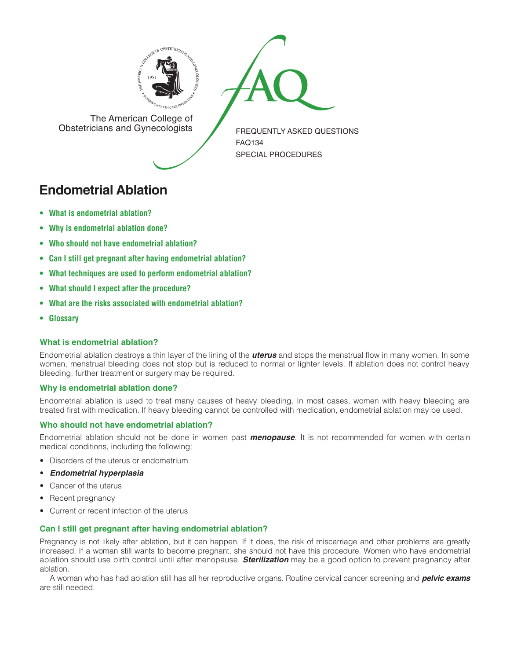



The American College of<br>Obstetricians and Gynecologists

FREQUENTLY ASKED QUESTIONS FAQ134 Special Procedures

# **Endometrial Ablation**

- **• What is [endometrial](#page-0-0) ablation?**
- **• Why is [endometrial](#page-0-1) ablation done?**
- **• Who should not have [endometrial](#page-0-2) ablation?**
- **• Can I still get pregnant after having [endometrial](#page-0-3) ablation?**
- **• What techniques are used to perform [endometrial](#page-1-0) ablation?**
- **• What should I expect after the [procedure?](#page-1-1)**
- **• What are the risks associated with [endometrial](#page-1-2) ablation?**
- **[• Glossary](#page-1-3)**

## <span id="page-0-0"></span>**What is endometrial ablation?**

Endometrial ablation destroys a thin layer of the lining of the *uterus* and stops the menstrual flow in many women. In some women, menstrual bleeding does not stop but is reduced to normal or lighter levels. If ablation does not control heavy bleeding, further treatment or surgery may be required.

## <span id="page-0-1"></span>**Why is endometrial ablation done?**

Endometrial ablation is used to treat many causes of heavy bleeding. In most cases, women with heavy bleeding are treated first with medication. If heavy bleeding cannot be controlled with medication, endometrial ablation may be used.

## <span id="page-0-2"></span>**Who should not have endometrial ablation?**

Endometrial ablation should not be done in women past *menopause*. It is not recommended for women with certain medical conditions, including the following:

- • Disorders of the uterus or endometrium
- • *Endometrial hyperplasia*
- Cancer of the uterus
- Recent pregnancy
- Current or recent infection of the uterus

## <span id="page-0-3"></span>**Can I still get pregnant after having endometrial ablation?**

Pregnancy is not likely after ablation, but it can happen. If it does, the risk of miscarriage and other problems are greatly increased. If a woman still wants to become pregnant, she should not have this procedure. Women who have endometrial ablation should use birth control until after menopause. *Sterilization* may be a good option to prevent pregnancy after ablation.

A woman who has had ablation still has all her reproductive organs. Routine cervical cancer screening and *pelvic exams*  are still needed.